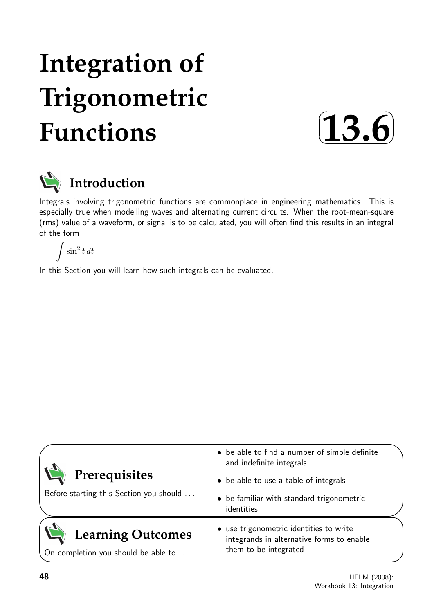# **Integration of Trigonometric Functions**





Integrals involving trigonometric functions are commonplace in engineering mathematics. This is especially true when modelling waves and alternating current circuits. When the root-mean-square (rms) value of a waveform, or signal is to be calculated, you will often find this results in an integral of the form

 $\int \sin^2 t \, dt$ 

In this Section you will learn how such integrals can be evaluated.

| Prerequisites<br>Before starting this Section you should | • be able to find a number of simple definite<br>and indefinite integrals                                     |  |
|----------------------------------------------------------|---------------------------------------------------------------------------------------------------------------|--|
|                                                          | • be able to use a table of integrals                                                                         |  |
|                                                          | • be familiar with standard trigonometric<br>identities                                                       |  |
| <b>Learning Outcomes</b>                                 | • use trigonometric identities to write<br>integrands in alternative forms to enable<br>them to be integrated |  |
| On completion you should be able to                      |                                                                                                               |  |

 $\overline{\phantom{0}}$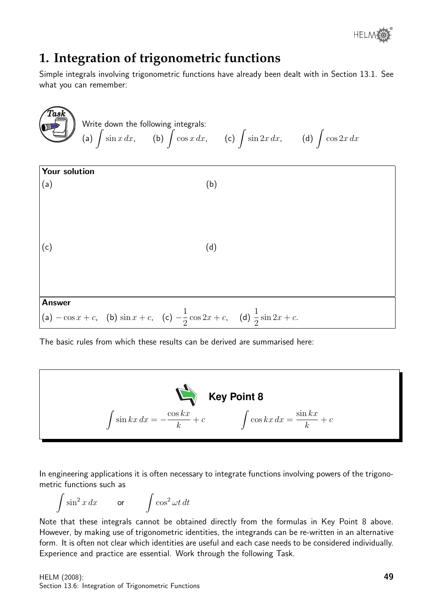

# **1. Integration of trigonometric functions**

Simple integrals involving trigonometric functions have already been dealt with in Section 13.1. See what you can remember:



The basic rules from which these results can be derived are summarised here:



In engineering applications it is often necessary to integrate functions involving powers of the trigonometric functions such as

$$
\int \sin^2 x \, dx \qquad \text{or} \qquad \int \cos^2 \omega t \, dt
$$

Note that these integrals cannot be obtained directly from the formulas in Key Point 8 above. However, by making use of trigonometric identities, the integrands can be re-written in an alternative form. It is often not clear which identities are useful and each case needs to be considered individually. Experience and practice are essential. Work through the following Task.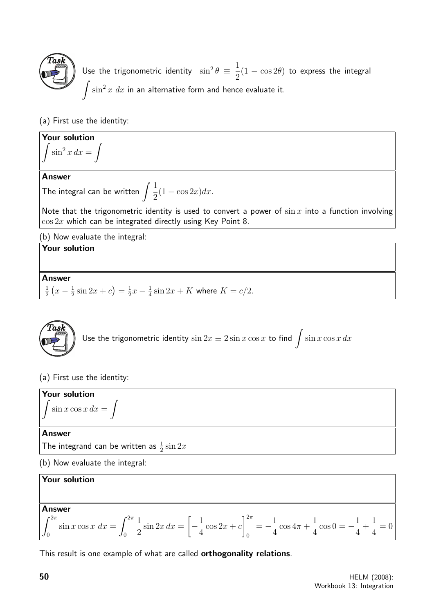

Use the trigonometric identity  $\sin^2\theta \equiv \frac{1}{2}$ 2  $(1 - \cos 2\theta)$  to express the integral  $\int \sin^2 x \ dx$  in an alternative form and hence evaluate it.

(a) First use the identity:

**Your solution**  

$$
\int \sin^2 x \, dx = \int
$$

## Answer

The integral can be written  $\int \frac{1}{2}$ 2  $(1 - \cos 2x)dx$ .

Note that the trigonometric identity is used to convert a power of  $\sin x$  into a function involving  $\cos 2x$  which can be integrated directly using Key Point 8.

(b) Now evaluate the integral:

# Your solution

Answer

1  $rac{1}{2}(x-\frac{1}{2})$  $\frac{1}{2}\sin 2x + c$  =  $\frac{1}{2}$  $rac{1}{2}x - \frac{1}{4}$  $\frac{1}{4}\sin 2x + K$  where  $K = c/2$ .



```
Use the trigonometric identity \sin 2x \equiv 2 \sin x \cos x to find \int \sin x \cos x \, dx
```
# (a) First use the identity:



(b) Now evaluate the integral:

# Your solution

## Answer

$$
\int_0^{2\pi} \sin x \cos x \, dx = \int_0^{2\pi} \frac{1}{2} \sin 2x \, dx = \left[ -\frac{1}{4} \cos 2x + c \right]_0^{2\pi} = -\frac{1}{4} \cos 4\pi + \frac{1}{4} \cos 0 = -\frac{1}{4} + \frac{1}{4} = 0
$$

This result is one example of what are called **orthogonality relations**.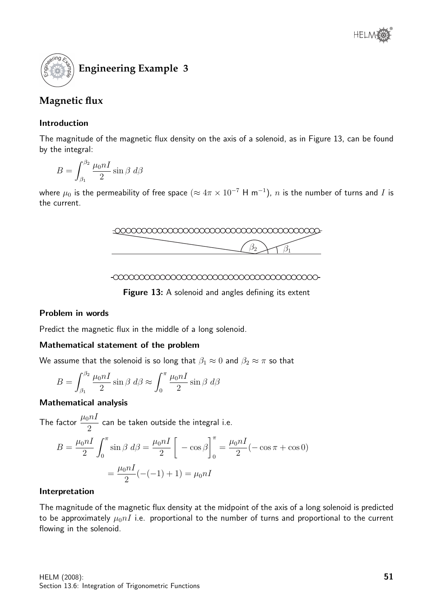

# **Magnetic flux**

# Introduction

The magnitude of the magnetic flux density on the axis of a solenoid, as in Figure 13, can be found by the integral:

$$
B = \int_{\beta_1}^{\beta_2} \frac{\mu_0 nI}{2} \sin \beta \ d\beta
$$

where  $\mu_0$  is the permeability of free space  $(\approx 4\pi\times 10^{-7}$  H m $^{-1})$ ,  $n$  is the number of turns and  $I$  is the current.





Figure 13: A solenoid and angles defining its extent

## Problem in words

Predict the magnetic flux in the middle of a long solenoid.

## Mathematical statement of the problem

We assume that the solenoid is so long that  $\beta_1 \approx 0$  and  $\beta_2 \approx \pi$  so that

$$
B = \int_{\beta_1}^{\beta_2} \frac{\mu_0 nI}{2} \sin \beta \, d\beta \approx \int_0^{\pi} \frac{\mu_0 nI}{2} \sin \beta \, d\beta
$$

## Mathematical analysis

The factor  $\frac{\mu_0 n I}{2}$ 2 can be taken outside the integral i.e.

$$
B = \frac{\mu_0 nI}{2} \int_0^{\pi} \sin \beta \, d\beta = \frac{\mu_0 nI}{2} \left[ -\cos \beta \right]_0^{\pi} = \frac{\mu_0 nI}{2} (-\cos \pi + \cos 0)
$$

$$
= \frac{\mu_0 nI}{2} (-(-1) + 1) = \mu_0 nI
$$

## Interpretation

The magnitude of the magnetic flux density at the midpoint of the axis of a long solenoid is predicted to be approximately  $\mu_0 nI$  i.e. proportional to the number of turns and proportional to the current flowing in the solenoid.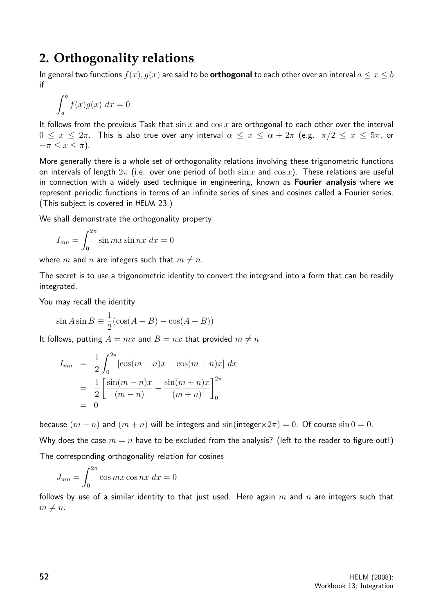# **2. Orthogonality relations**

In general two functions  $f(x), g(x)$  are said to be **orthogonal** to each other over an interval  $a \le x \le b$ if

$$
\int_a^b f(x)g(x) \ dx = 0
$$

It follows from the previous Task that  $\sin x$  and  $\cos x$  are orthogonal to each other over the interval  $0 \leq x \leq 2\pi$ . This is also true over any interval  $\alpha \leq x \leq \alpha + 2\pi$  (e.g.  $\pi/2 \leq x \leq 5\pi$ , or  $-\pi \leq x \leq \pi$ ).

More generally there is a whole set of orthogonality relations involving these trigonometric functions on intervals of length  $2\pi$  (i.e. over one period of both  $\sin x$  and  $\cos x$ ). These relations are useful in connection with a widely used technique in engineering, known as Fourier analysis where we represent periodic functions in terms of an infinite series of sines and cosines called a Fourier series. (This subject is covered in HELM 23.)

We shall demonstrate the orthogonality property

$$
I_{mn} = \int_0^{2\pi} \sin mx \sin nx \, dx = 0
$$

where m and n are integers such that  $m \neq n$ .

The secret is to use a trigonometric identity to convert the integrand into a form that can be readily integrated.

You may recall the identity

$$
\sin A \sin B \equiv \frac{1}{2} (\cos(A - B) - \cos(A + B))
$$

It follows, putting  $A = mx$  and  $B = nx$  that provided  $m \neq n$ 

$$
I_{mn} = \frac{1}{2} \int_0^{2\pi} [\cos(m-n)x - \cos(m+n)x] dx
$$
  
= 
$$
\frac{1}{2} \left[ \frac{\sin(m-n)x}{(m-n)} - \frac{\sin(m+n)x}{(m+n)} \right]_0^{2\pi}
$$
  
= 0

because  $(m - n)$  and  $(m + n)$  will be integers and  $sin(integer \times 2\pi) = 0$ . Of course  $sin 0 = 0$ . Why does the case  $m = n$  have to be excluded from the analysis? (left to the reader to figure out!) The corresponding orthogonality relation for cosines

$$
J_{mn} = \int_0^{2\pi} \cos mx \cos nx \, dx = 0
$$

follows by use of a similar identity to that just used. Here again  $m$  and  $n$  are integers such that  $m \neq n$ .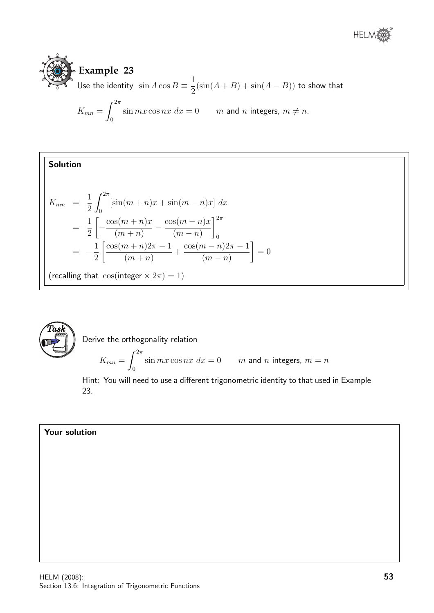

$$
K_{mn} = \int_0^{2\pi} \sin mx \cos nx \, dx = 0 \qquad m \text{ and } n \text{ integers, } m \neq n.
$$

Solution  $K_{mn}$  = 1 2  $\int^{2\pi}$  $\mathbf{0}$  $[\sin(m + n)x + \sin(m - n)x] dx$ = 1 2  $\sqrt{ }$  $-\frac{\cos((m+n)x)}{x}$  $(m+n)$  $-\frac{\cos((m-n)x)}{x}$  $(m-n)$  $\Big]^{2\pi}$ 0  $= -\frac{1}{2}$ 2  $\int \cos(m+n) 2\pi - 1$  $(m+n)$ +  $\cos(m-n)2\pi-1$  $(m - n)$ 1  $= 0$ (recalling that  $\cos(\text{integer} \times 2\pi) = 1)$ 



Derive the orthogonality relation

$$
K_{mn} = \int_0^{2\pi} \sin mx \cos nx \, dx = 0 \qquad m \text{ and } n \text{ integers, } m = n
$$

Hint: You will need to use a different trigonometric identity to that used in Example 23.

## Your solution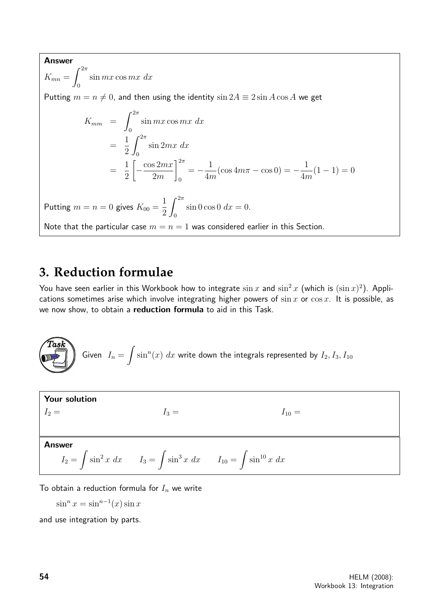#### Answer

 $K_{mn} =$  $\int^{2\pi}$ 0  $\sin mx \cos mx \, dx$ Putting  $m = n \neq 0$ , and then using the identity  $\sin 2A \equiv 2 \sin A \cos A$  we get  $K_{mm}$  =  $\int^{2\pi}$ 0  $\sin mx \cos mx \, dx$ = 1 2  $\int^{2\pi}$ 0  $\sin 2mx \, dx$ = 1 2  $\sqrt{ }$  $-\frac{\cos 2mx}{2}$ 2m  $\vert^{2\pi}$ 0  $=-\frac{1}{4}$ 4m  $(\cos 4m\pi - \cos 0) = -\frac{1}{4}$ 4m  $(1 - 1) = 0$ Putting  $m = n = 0$  gives  $K_{00} =$ 1 2  $\int^{2\pi}$  $\boldsymbol{0}$  $\sin 0 \cos 0 dx = 0.$ Note that the particular case  $m = n = 1$  was considered earlier in this Section.

# **3. Reduction formulae**

You have seen earlier in this Workbook how to integrate  $\sin x$  and  $\sin^2 x$  (which is  $(\sin x)^2$ ). Applications sometimes arise which involve integrating higher powers of  $\sin x$  or  $\cos x$ . It is possible, as we now show, to obtain a reduction formula to aid in this Task.

**Task**  
Given 
$$
I_n = \int \sin^n(x) dx
$$
 write down the integrals represented by  $I_2, I_3, I_{10}$ 

**Your solution**

\n
$$
I_2 = \nI_3 = \nI_{10} =
$$
\n**Answer**

\n
$$
I_2 = \int \sin^2 x \, dx \qquad I_3 = \int \sin^3 x \, dx \qquad I_{10} = \int \sin^{10} x \, dx
$$

To obtain a reduction formula for  $I_n$  we write

 $\sin^n x = \sin^{n-1}(x) \sin x$ 

and use integration by parts.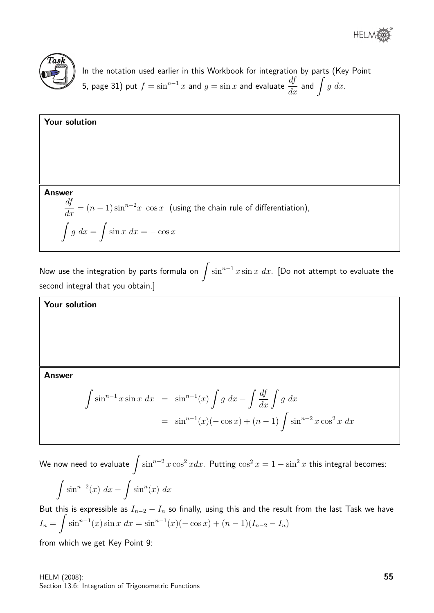

In the notation used earlier in this Workbook for integration by parts (Key Point 5, page 31) put  $f = \sin^{n-1} x$  and  $g = \sin x$  and evaluate  $\frac{df}{dx}$  and  $\int g\ dx.$ 

**Your solution**  
\n**Answer**  
\n
$$
\frac{df}{dx} = (n-1)\sin^{n-2}x \cos x
$$
 (using the chain rule of differentiation),  
\n
$$
\int g \, dx = \int \sin x \, dx = -\cos x
$$

Now use the integration by parts formula on  $\int \sin^{n-1} x \sin x \ dx$ . [Do not attempt to evaluate the second integral that you obtain.]

Your solution

## Answer

$$
\int \sin^{n-1} x \sin x \, dx = \sin^{n-1}(x) \int g \, dx - \int \frac{df}{dx} \int g \, dx
$$
  
=  $\sin^{n-1}(x)(-\cos x) + (n-1) \int \sin^{n-2} x \cos^2 x \, dx$ 

We now need to evaluate  $\int \sin^{n-2}x \cos^2 x dx$ . Putting  $\cos^2 x = 1 - \sin^2 x$  this integral becomes:  $\int \sin^{n-2}(x) \ dx - \int \sin^n(x) \ dx$ 

But this is expressible as  $I_{n-2} - I_n$  so finally, using this and the result from the last Task we have  $I_n = \int \sin^{n-1}(x) \sin x \ dx = \sin^{n-1}(x) (-\cos x) + (n-1)(I_{n-2} - I_n)$ 

from which we get Key Point 9: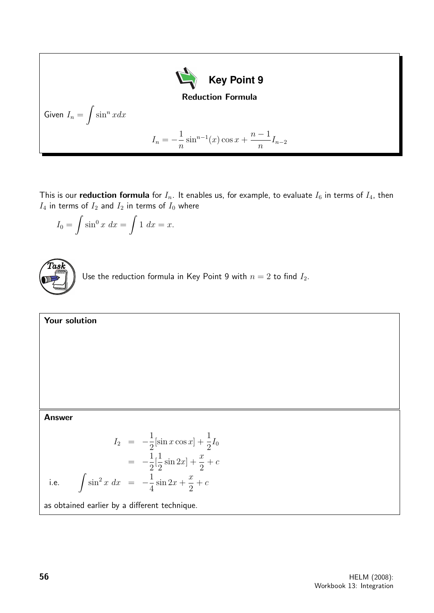

This is our **reduction formula** for  $I_n$ . It enables us, for example, to evaluate  $I_6$  in terms of  $I_4$ , then  $I_4$  in terms of  $I_2$  and  $I_2$  in terms of  $I_0$  where

$$
I_0 = \int \sin^0 x \, dx = \int 1 \, dx = x.
$$



Use the reduction formula in Key Point 9 with  $n = 2$  to find  $I_2$ .

Your solution

Answer

i.e.

$$
I_2 = -\frac{1}{2} [\sin x \cos x] + \frac{1}{2} I_0
$$
  
=  $-\frac{1}{2} [\frac{1}{2} \sin 2x] + \frac{x}{2} + c$   

$$
\int \sin^2 x \, dx = -\frac{1}{4} \sin 2x + \frac{x}{2} + c
$$

as obtained earlier by a different technique.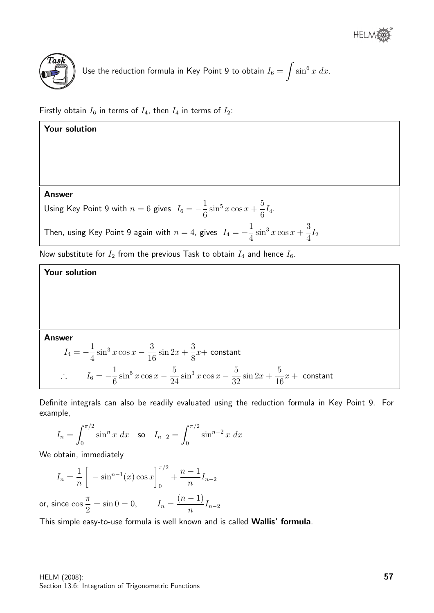

Use the reduction formula in Key Point 9 to obtain 
$$
I_6 = \int \sin^6 x \ dx
$$
.

Firstly obtain  $I_6$  in terms of  $I_4$ , then  $I_4$  in terms of  $I_2$ :



#### Answer

$$
I_4 = -\frac{1}{4}\sin^3 x \cos x - \frac{3}{16}\sin 2x + \frac{3}{8}x + \text{ constant}
$$
  

$$
\therefore \qquad I_6 = -\frac{1}{6}\sin^5 x \cos x - \frac{5}{24}\sin^3 x \cos x - \frac{5}{32}\sin 2x + \frac{5}{16}x + \text{ constant}
$$

Definite integrals can also be readily evaluated using the reduction formula in Key Point 9. For example,

$$
I_n = \int_0^{\pi/2} \sin^n x \, dx \quad \text{so} \quad I_{n-2} = \int_0^{\pi/2} \sin^{n-2} x \, dx
$$

We obtain, immediately

$$
I_n = \frac{1}{n} \left[ -\sin^{n-1}(x) \cos x \right]_0^{\pi/2} + \frac{n-1}{n} I_{n-2}
$$

or, since cos  $\pi$  $\frac{\pi}{2} = \sin 0 = 0, \qquad I_n =$  $(n-1)$  $\frac{1}{n}I_{n-2}$ 

This simple easy-to-use formula is well known and is called Wallis' formula.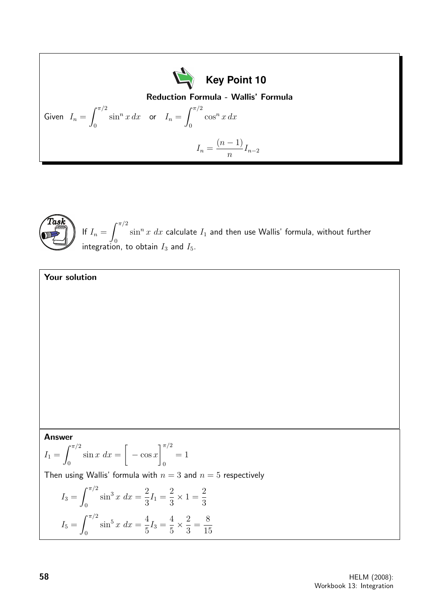**Key Point 10**  
\n**Key Point 10**  
\nGiven 
$$
I_n = \int_0^{\pi/2} \sin^n x \, dx
$$
 or  $I_n = \int_0^{\pi/2} \cos^n x \, dx$   
\n $I_n = \frac{(n-1)}{n} I_{n-2}$ 



 $\sqrt{ }$ 

If  $I_n =$  $\int_0^{\pi/2}$ 0  $\sin^n x \ dx$  calculate  $I_1$  and then use Wallis' formula, without further integration, to obtain  $I_3$  and  $I_5$ .

**Answer**  
\n
$$
I_1 = \int_0^{\pi/2} \sin x \, dx = \left[ -\cos x \right]_0^{\pi/2} = 1
$$
  
\nThen using Wallis' formula with  $n = 3$  and  $n = 5$  respectively  
\n $I_3 = \int_0^{\pi/2} \sin^3 x \, dx = \frac{2}{3} I_1 = \frac{2}{3} \times 1 = \frac{2}{3}$   
\n $I_5 = \int_0^{\pi/2} \sin^5 x \, dx = \frac{4}{5} I_3 = \frac{4}{5} \times \frac{2}{3} = \frac{8}{15}$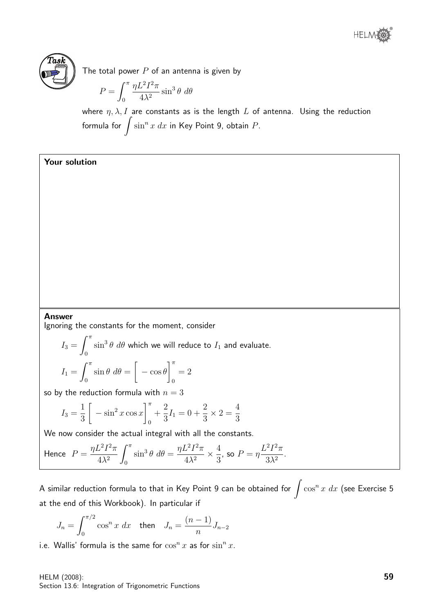



The total power  $P$  of an antenna is given by

$$
P = \int_0^{\pi} \frac{\eta L^2 I^2 \pi}{4\lambda^2} \sin^3 \theta \ d\theta
$$

where  $\eta$ ,  $\lambda$ , I are constants as is the length L of antenna. Using the reduction formula for  $\int \sin^n x\ dx$  in Key Point 9, obtain  $P.$ 

## Your solution

#### Answer

Ignoring the constants for the moment, consider

$$
I_3 = \int_0^{\pi} \sin^3 \theta \, d\theta
$$
 which we will reduce to  $I_1$  and evaluate.  

$$
I_1 = \int_0^{\pi} \sin \theta \, d\theta = \left[ -\cos \theta \right]_0^{\pi} = 2
$$

so by the reduction formula with  $n = 3$ 

$$
I_3 = \frac{1}{3} \left[ -\sin^2 x \cos x \right]_0^{\pi} + \frac{2}{3} I_1 = 0 + \frac{2}{3} \times 2 = \frac{4}{3}
$$

We now consider the actual integral with all the constants.

Hence 
$$
P = \frac{\eta L^2 I^2 \pi}{4\lambda^2} \int_0^\pi \sin^3 \theta \ d\theta = \frac{\eta L^2 I^2 \pi}{4\lambda^2} \times \frac{4}{3}
$$
, so  $P = \eta \frac{L^2 I^2 \pi}{3\lambda^2}$ .

A similar reduction formula to that in Key Point 9 can be obtained for  $\int \cos^n x \ dx$  (see Exercise 5 at the end of this Workbook). In particular if

$$
J_n = \int_0^{\pi/2} \cos^n x \, dx \quad \text{then} \quad J_n = \frac{(n-1)}{n} J_{n-2}
$$

i.e. Wallis' formula is the same for  $\cos^n x$  as for  $\sin^n x$ .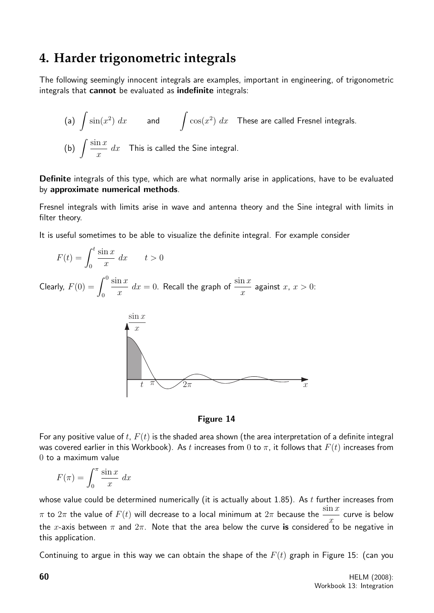# **4. Harder trigonometric integrals**

The following seemingly innocent integrals are examples, important in engineering, of trigonometric integrals that cannot be evaluated as indefinite integrals:

(a) 
$$
\int \sin(x^2) dx
$$
 and  $\int \cos(x^2) dx$  These are called Fresnel integrals.  
\n(b)  $\int \frac{\sin x}{x} dx$  This is called the Sine integral.

Definite integrals of this type, which are what normally arise in applications, have to be evaluated by approximate numerical methods.

Fresnel integrals with limits arise in wave and antenna theory and the Sine integral with limits in filter theory.

It is useful sometimes to be able to visualize the definite integral. For example consider

$$
F(t) = \int_0^t \frac{\sin x}{x} dx \qquad t > 0
$$

Clearly,  $F(0) = \int_0^0$ 0  $\sin x$  $\overline{x}$  $dx = 0$ . Recall the graph of  $\frac{\sin x}{x}$  $\overline{x}$ against  $x, x > 0$ :



## Figure 14

For any positive value of t,  $F(t)$  is the shaded area shown (the area interpretation of a definite integral was covered earlier in this Workbook). As t increases from 0 to  $\pi$ , it follows that  $F(t)$  increases from 0 to a maximum value

$$
F(\pi) = \int_0^{\pi} \frac{\sin x}{x} dx
$$

whose value could be determined numerically (it is actually about  $1.85$ ). As  $t$  further increases from  $\pi$  to  $2\pi$  the value of  $F(t)$  will decrease to a local minimum at  $2\pi$  because the  $\frac{\sin x}{\pi}$ x curve is below the x-axis between  $\pi$  and  $2\pi$ . Note that the area below the curve is considered to be negative in this application.

Continuing to argue in this way we can obtain the shape of the  $F(t)$  graph in Figure 15: (can you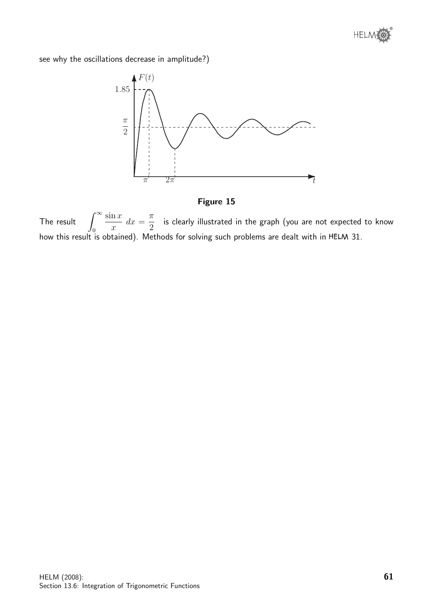

see why the oscillations decrease in amplitude?)





The result  $\int_{-\infty}^{\infty}$  $\boldsymbol{0}$  $\sin x$  $\overline{x}$  $dx =$  $\pi$ 2 is clearly illustrated in the graph (you are not expected to know how this result is obtained). Methods for solving such problems are dealt with in HELM 31.